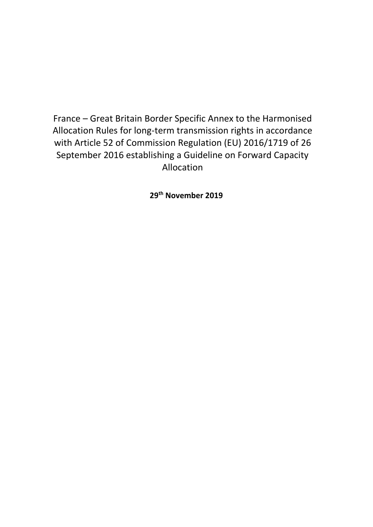France – Great Britain Border Specific Annex to the Harmonised Allocation Rules for long-term transmission rights in accordance with Article 52 of Commission Regulation (EU) 2016/1719 of 26 September 2016 establishing a Guideline on Forward Capacity Allocation

**29th November 2019**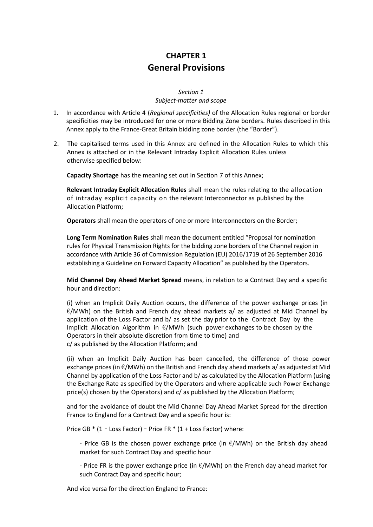## **CHAPTER 1 General Provisions**

### *Section 1 Subject-matter and scope*

- 1. In accordance with Article 4 (*Regional specificities)* of the Allocation Rules regional or border specificities may be introduced for one or more Bidding Zone borders. Rules described in this Annex apply to the France-Great Britain bidding zone border (the "Border").
- 2. The capitalised terms used in this Annex are defined in the Allocation Rules to which this Annex is attached or in the Relevant Intraday Explicit Allocation Rules unless otherwise specified below:

**Capacity Shortage** has the meaning set out in Section 7 of this Annex;

**Relevant Intraday Explicit Allocation Rules** shall mean the rules relating to the allocation of intraday explicit capacity on the relevant Interconnector as published by the Allocation Platform;

**Operators** shall mean the operators of one or more Interconnectors on the Border;

**Long Term Nomination Rules** shall mean the document entitled "Proposal for nomination rules for Physical Transmission Rights for the bidding zone borders of the Channel region in accordance with Article 36 of Commission Regulation (EU) 2016/1719 of 26 September 2016 establishing a Guideline on Forward Capacity Allocation" as published by the Operators.

**Mid Channel Day Ahead Market Spread** means, in relation to a Contract Day and a specific hour and direction:

(i) when an Implicit Daily Auction occurs, the difference of the power exchange prices (in  $E/MWh$ ) on the British and French day ahead markets a/ as adjusted at Mid Channel by application of the Loss Factor and b/ as set the day prior to the Contract Day by the Implicit Allocation Algorithm in  $\epsilon$ /MWh (such power exchanges to be chosen by the Operators in their absolute discretion from time to time) and c/ as published by the Allocation Platform; and

(ii) when an Implicit Daily Auction has been cancelled, the difference of those power exchange prices (in  $\epsilon$ /MWh) on the British and French day ahead markets a/ as adjusted at Mid Channel by application of the Loss Factor and b/ as calculated by the Allocation Platform (using the Exchange Rate as specified by the Operators and where applicable such Power Exchange price(s) chosen by the Operators) and c/ as published by the Allocation Platform;

and for the avoidance of doubt the Mid Channel Day Ahead Market Spread for the direction France to England for a Contract Day and a specific hour is:

Price GB \* (1 – Loss Factor) – Price FR \* (1 + Loss Factor) where:

- Price GB is the chosen power exchange price (in  $\epsilon/MWh$ ) on the British day ahead market for such Contract Day and specific hour

- Price FR is the power exchange price (in  $\epsilon$ /MWh) on the French day ahead market for such Contract Day and specific hour;

And vice versa for the direction England to France: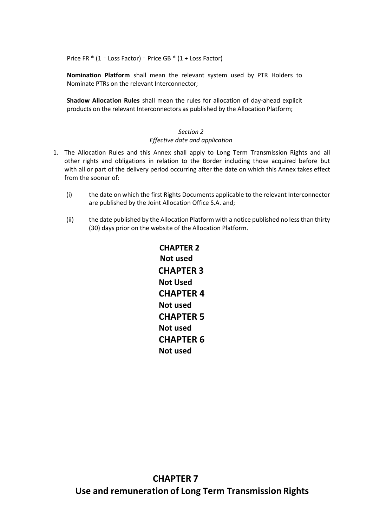Price FR \* (1 – Loss Factor) – Price GB \* (1 + Loss Factor)

**Nomination Platform** shall mean the relevant system used by PTR Holders to Nominate PTRs on the relevant Interconnector;

**Shadow Allocation Rules** shall mean the rules for allocation of day-ahead explicit products on the relevant Interconnectors as published by the Allocation Platform;

### *Section 2 Effective date and application*

- 1. The Allocation Rules and this Annex shall apply to Long Term Transmission Rights and all other rights and obligations in relation to the Border including those acquired before but with all or part of the delivery period occurring after the date on which this Annex takes effect from the sooner of:
	- (i) the date on which the first Rights Documents applicable to the relevant Interconnector are published by the Joint Allocation Office S.A. and;
	- (ii) the date published by the Allocation Platform with a notice published no less than thirty (30) days prior on the website of the Allocation Platform.

**CHAPTER 2 Not used CHAPTER 3 Not Used CHAPTER 4 Not used CHAPTER 5 Not used CHAPTER 6 Not used**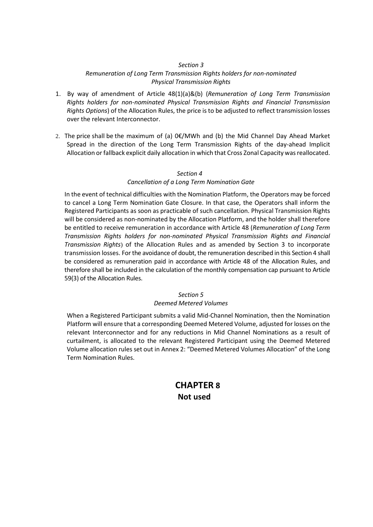### *Section 3*

### *Remuneration of Long Term Transmission Rights holders for non-nominated Physical Transmission Rights*

- 1. By way of amendment of Article 48(1)(a)&(b) (*Remuneration of Long Term Transmission Rights holders for non-nominated Physical Transmission Rights and Financial Transmission Rights Options*) of the Allocation Rules, the price is to be adjusted to reflect transmission losses over the relevant Interconnector.
- 2. The price shall be the maximum of (a)  $0 \in \mathcal{C}$  MWh and (b) the Mid Channel Day Ahead Market Spread in the direction of the Long Term Transmission Rights of the day-ahead Implicit Allocation or fallback explicit daily allocation in which that Cross Zonal Capacity wasreallocated.

### *Section 4*

### *Cancellation of a Long Term Nomination Gate*

In the event of technical difficulties with the Nomination Platform, the Operators may be forced to cancel a Long Term Nomination Gate Closure. In that case, the Operators shall inform the Registered Participants as soon as practicable of such cancellation. Physical Transmission Rights will be considered as non-nominated by the Allocation Platform, and the holder shall therefore be entitled to receive remuneration in accordance with Article 48 (*Remuneration of Long Term Transmission Rights holders for non-nominated Physical Transmission Rights and Financial Transmission Rights*) of the Allocation Rules and as amended by Section 3 to incorporate transmission losses. For the avoidance of doubt, the remuneration described in this Section 4 shall be considered as remuneration paid in accordance with Article 48 of the Allocation Rules, and therefore shall be included in the calculation of the monthly compensation cap pursuant to Article 59(3) of the Allocation Rules.

### *Section 5*

### *Deemed Metered Volumes*

When a Registered Participant submits a valid Mid-Channel Nomination, then the Nomination Platform will ensure that a corresponding Deemed Metered Volume, adjusted for losses on the relevant Interconnector and for any reductions in Mid Channel Nominations as a result of curtailment, is allocated to the relevant Registered Participant using the Deemed Metered Volume allocation rules set out in Annex 2: "Deemed Metered Volumes Allocation" of the Long Term Nomination Rules.

### **CHAPTER 8 Not used**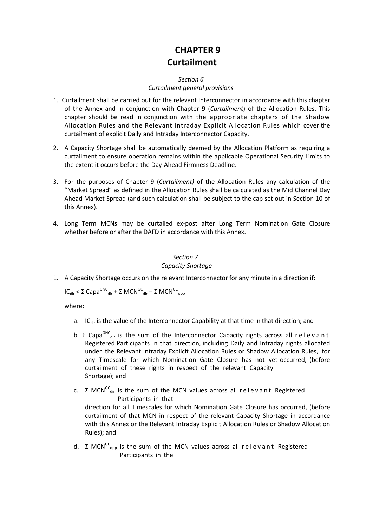# **CHAPTER 9 Curtailment**

#### *Section 6*

### *Curtailment general provisions*

- 1. Curtailment shall be carried out for the relevant Interconnector in accordance with this chapter of the Annex and in conjunction with Chapter 9 (*Curtailment*) of the Allocation Rules. This chapter should be read in conjunction with the appropriate chapters of the Shadow Allocation Rules and the Relevant Intraday Explicit Allocation Rules which cover the curtailment of explicit Daily and Intraday Interconnector Capacity.
- 2. A Capacity Shortage shall be automatically deemed by the Allocation Platform as requiring a curtailment to ensure operation remains within the applicable Operational Security Limits to the extent it occurs before the Day-Ahead Firmness Deadline.
- 3. For the purposes of Chapter 9 (*Curtailment)* of the Allocation Rules any calculation of the "Market Spread" as defined in the Allocation Rules shall be calculated as the Mid Channel Day Ahead Market Spread (and such calculation shall be subject to the cap set out in Section 10 of this Annex).
- 4. Long Term MCNs may be curtailed ex-post after Long Term Nomination Gate Closure whether before or after the DAFD in accordance with this Annex.

## *Section 7*

### *Capacity Shortage*

1. A Capacity Shortage occurs on the relevant Interconnector for any minute in a direction if:

### $IC_{dir} < \Sigma$  Capa<sup>GNC</sup><sub>dir</sub> + Σ MCN<sup>GC</sup><sub>dir</sub> – Σ MCN<sup>GC</sup><sub>opp</sub>

where:

- a. IC<sub>dir</sub> is the value of the Interconnector Capability at that time in that direction; and
- b. Σ Capa<sup>GNC</sup><sub>dir</sub> is the sum of the Interconnector Capacity rights across all relevant Registered Participants in that direction, including Daily and Intraday rights allocated under the Relevant Intraday Explicit Allocation Rules or Shadow Allocation Rules, for any Timescale for which Nomination Gate Closure has not yet occurred, (before curtailment of these rights in respect of the relevant Capacity Shortage); and
- c.  $\Sigma$  MCN<sup>GC</sup><sub>dir</sub> is the sum of the MCN values across all relevant Registered Participants in that direction for all Timescales for which Nomination Gate Closure has occurred, (before curtailment of that MCN in respect of the relevant Capacity Shortage in accordance with this Annex or the Relevant Intraday Explicit Allocation Rules or Shadow Allocation Rules); and
- d. Σ MCN<sup>GC</sup><sub>opp</sub> is the sum of the MCN values across all relevant Registered Participants in the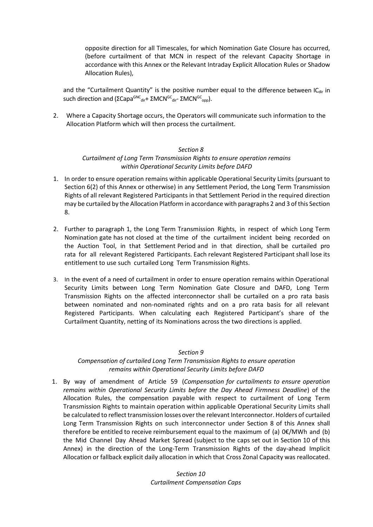opposite direction for all Timescales, for which Nomination Gate Closure has occurred, (before curtailment of that MCN in respect of the relevant Capacity Shortage in accordance with this Annex or the Relevant Intraday Explicit Allocation Rules or Shadow Allocation Rules),

and the "Curtailment Quantity" is the positive number equal to the difference between  $IC_{dir}$  in such direction and (ΣCapa<sup>GNC</sup><sub>dir</sub>+ ΣMCN<sup>GC</sup><sub>dir</sub>- ΣMCN<sup>GC</sup><sub>opp</sub>).

2. Where a Capacity Shortage occurs, the Operators will communicate such information to the Allocation Platform which will then process the curtailment.

### *Section 8*

### *Curtailment of Long Term Transmission Rights to ensure operation remains within Operational Security Limits before DAFD*

- 1. In order to ensure operation remains within applicable Operational Security Limits (pursuant to Section 6(2) of this Annex or otherwise) in any Settlement Period, the Long Term Transmission Rights of all relevant Registered Participants in that Settlement Period in the required direction may be curtailed by the Allocation Platform in accordance with paragraphs 2 and 3 of this Section 8.
- 2. Further to paragraph 1, the Long Term Transmission Rights, in respect of which Long Term Nomination gate has not closed at the time of the curtailment incident being recorded on the Auction Tool, in that Settlement Period and in that direction, shall be curtailed pro rata for all relevant Registered Participants. Each relevant Registered Participant shall lose its entitlement to use such curtailed Long Term Transmission Rights.
- 3. In the event of a need of curtailment in order to ensure operation remains within Operational Security Limits between Long Term Nomination Gate Closure and DAFD, Long Term Transmission Rights on the affected interconnector shall be curtailed on a pro rata basis between nominated and non-nominated rights and on a pro rata basis for all relevant Registered Participants. When calculating each Registered Participant's share of the Curtailment Quantity, netting of its Nominations across the two directions is applied.

### *Section 9*

### *Compensation of curtailed Long Term Transmission Rights to ensure operation remains within Operational Security Limits before DAFD*

1. By way of amendment of Article 59 (*Compensation for curtailments to ensure operation remains within Operational Security Limits before the Day Ahead Firmness Deadline*) of the Allocation Rules, the compensation payable with respect to curtailment of Long Term Transmission Rights to maintain operation within applicable Operational Security Limits shall be calculated to reflect transmission losses overthe relevant Interconnector. Holders of curtailed Long Term Transmission Rights on such interconnector under Section 8 of this Annex shall therefore be entitled to receive reimbursement equal to the maximum of (a)  $0\notin MWh$  and (b) the Mid Channel Day Ahead Market Spread (subject to the caps set out in Section 10 of this Annex) in the direction of the Long-Term Transmission Rights of the day-ahead Implicit Allocation or fallback explicit daily allocation in which that Cross Zonal Capacity was reallocated.

> *Section 10 Curtailment Compensation Caps*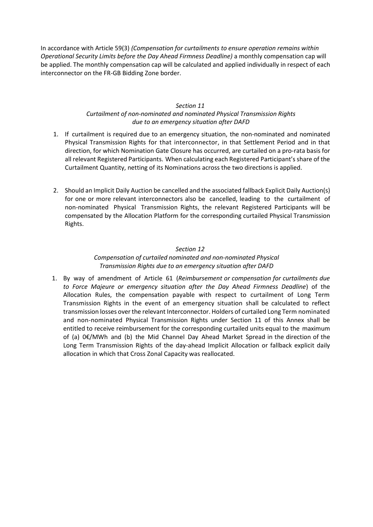In accordance with Article 59(3) *(Compensation for curtailments to ensure operation remains within Operational Security Limits before the Day Ahead Firmness Deadline)* a monthly compensation cap will be applied. The monthly compensation cap will be calculated and applied individually in respect of each interconnector on the FR-GB Bidding Zone border.

### *Section 11*

### *Curtailment of non-nominated and nominated Physical Transmission Rights due to an emergency situation after DAFD*

- 1. If curtailment is required due to an emergency situation, the non-nominated and nominated Physical Transmission Rights for that interconnector, in that Settlement Period and in that direction, for which Nomination Gate Closure has occurred, are curtailed on a pro-rata basis for all relevant Registered Participants. When calculating each Registered Participant's share of the Curtailment Quantity, netting of its Nominations across the two directions is applied.
- 2. Should an Implicit Daily Auction be cancelled and the associated fallback Explicit Daily Auction(s) for one or more relevant interconnectors also be cancelled, leading to the curtailment of non-nominated Physical Transmission Rights, the relevant Registered Participants will be compensated by the Allocation Platform for the corresponding curtailed Physical Transmission Rights.

### *Section 12*

### *Compensation of curtailed nominated and non-nominated Physical Transmission Rights due to an emergency situation after DAFD*

1. By way of amendment of Article 61 (*Reimbursement or compensation for curtailments due to Force Majeure or emergency situation after the Day Ahead Firmness Deadline*) of the Allocation Rules, the compensation payable with respect to curtailment of Long Term Transmission Rights in the event of an emergency situation shall be calculated to reflect transmission losses overthe relevant Interconnector. Holders of curtailed Long Term nominated and non-nominated Physical Transmission Rights under Section 11 of this Annex shall be entitled to receive reimbursement for the corresponding curtailed units equal to the maximum of (a) 0€/MWh and (b) the Mid Channel Day Ahead Market Spread in the direction of the Long Term Transmission Rights of the day-ahead Implicit Allocation or fallback explicit daily allocation in which that Cross Zonal Capacity was reallocated.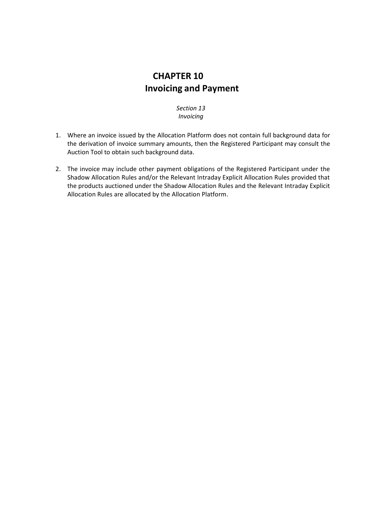## **CHAPTER 10 Invoicing and Payment**

*Section 13 Invoicing*

- 1. Where an invoice issued by the Allocation Platform does not contain full background data for the derivation of invoice summary amounts, then the Registered Participant may consult the Auction Tool to obtain such background data.
- 2. The invoice may include other payment obligations of the Registered Participant under the Shadow Allocation Rules and/or the Relevant Intraday Explicit Allocation Rules provided that the products auctioned under the Shadow Allocation Rules and the Relevant Intraday Explicit Allocation Rules are allocated by the Allocation Platform.